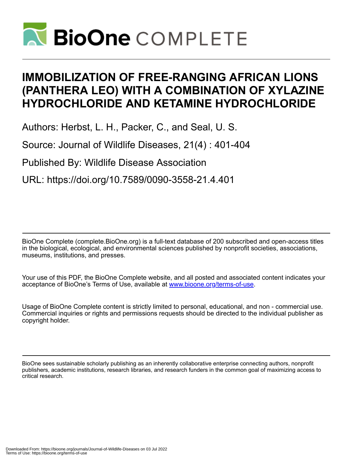

# **IMMOBILIZATION OF FREE-RANGING AFRICAN LIONS (PANTHERA LEO) WITH A COMBINATION OF XYLAZINE HYDROCHLORIDE AND KETAMINE HYDROCHLORIDE**

Authors: Herbst, L. H., Packer, C., and Seal, U. S.

Source: Journal of Wildlife Diseases, 21(4) : 401-404

Published By: Wildlife Disease Association

URL: https://doi.org/10.7589/0090-3558-21.4.401

BioOne Complete (complete.BioOne.org) is a full-text database of 200 subscribed and open-access titles in the biological, ecological, and environmental sciences published by nonprofit societies, associations, museums, institutions, and presses.

Your use of this PDF, the BioOne Complete website, and all posted and associated content indicates your acceptance of BioOne's Terms of Use, available at www.bioone.org/terms-of-use.

Usage of BioOne Complete content is strictly limited to personal, educational, and non - commercial use. Commercial inquiries or rights and permissions requests should be directed to the individual publisher as copyright holder.

BioOne sees sustainable scholarly publishing as an inherently collaborative enterprise connecting authors, nonprofit publishers, academic institutions, research libraries, and research funders in the common goal of maximizing access to critical research.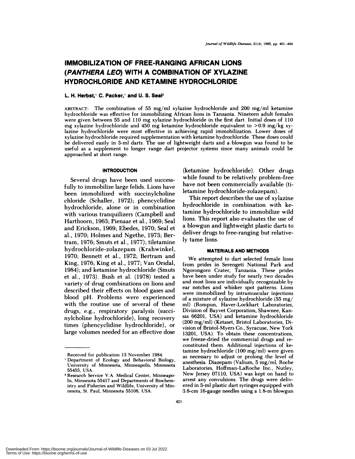## **IMMOBILIZATION OF FREE-RANGING AFRICAN LIONS (PANTHERA LEO) WITH A COMBINATION OF XYLAZINE HYDROCHLORIDE AND KETAMINE HYDROCHLORIDE**

### **L. H. Herbst, C. Packer, and U. S. Seal2**

**ABSTRACT:** The combination of 55 mg/ml xy!azine hydrochloride and 200 mg/ml ketamine hydrochloride was effective for immobilizing African lions in Tanzania. Nineteen adult females were given between 55 and 110 mg xylazine hydrochloride in the first dart. Initial doses of 110 mg xylazine hydrochloride and 450 mg ketamine hydrochloride equivalent to  $>0.9$  mg/kg xylazine hydrochloride were most effective in achieving rapid immobilization. Lower doses of xylazmne hydrochloride required supplementation with ketamine hydrochloride. These doses could be delivered easily in 3-ml darts. The use of lightweight darts and a blowgun was found to be useful as a supplement to longer range dart projector systems since many animals could be approached at short range.

#### **INTRODUCTION**

Several drugs have been used successfully to immobilize large felids. Lions have been immobilized with succinylcholine chloride (Schaller, 1972); phencyclidine hydrochloride, alone or in combination with various tranquilizers (Campbell and Harthoorn, 1963; Pienaar et al., 1969; Seal and Erickson, 1969; Ebedes, 1970; Sea! et a!., 1970; Holmes and Ngethe, 1973; Bertram, 1976; Smuts et a!., 1977); tiletamine hydrochloride-zolazepam (Krahwinkel, 1970; Bennett et al., 1972; Bertram and King, 1976; King et a!., 1977; Van Orsdal, 1984); and ketamine hydrochloride (Smuts et al., 1973). Bush et al. (1978) tested a variety of drug combinations on lions and described their effects on blood gases and blood pH. Problems were experienced with the routine use of several of these drugs, e.g., respiratory paralysis (succinylcholine hydrochloride), long recovery times (phencyclidine hydrochloride), or large volumes needed for an effective dose

(ketamine hydrochloride). Other drugs while found to be relatively problem-free have not been commercially available (tiletamine hydrochloride-zolazepam).

This report describes the use of xylazine hydrochloride in combination with ketamine hydrochloride to immobilize wild lions. This report also evaluates the use of a blowgun and lightweight plastic darts to deliver drugs to free-ranging but relatively tame lions.

#### **MATERIALS AND METHODS**

We attempted to dart selected female lions from prides in Serengeti National Park and Ngorongoro Crater, Tanzania. These prides have been under study for nearly two decades and most lions are individually recognizable by ear notches and whisker spot patterns. Lions were immobilized by intramuscular injections of a mixture of xylazine hydrochloride (55 mg/ ml) (Rompun, Haver-Lockhart Laboratories, Division of Bayvet Corporation, Shawnee, Kan sas 66201, USA) and ketamine hydrochloride (200 mg/m!) (Ketaset, Bristol Laboratories, Division of Bristol-Myers Co., Syracuse, New York 13201, USA). To obtain these concentrations, we freeze-dried the commercial drugs and re constituted them. Additional injections of ketamine hydrochloride (100 mg/mI) were given as necessary to adjust or prolong the level of anesthesia. Diazepam (Valium, 5 mg/ml, Roche Laboratories, Hoffman-LaRoche Inc., Nutley, New Jersey 07110, USA) was kept on hand to arrest any convulsions. The drugs were delivered in 3-m! plastic dart syringes equipped with 3.8-cm 16-gauge needles using a 1.8-m blowgun

Received for publication 13 November 1984.

Department of Ecology and Behavioral Biology, University of Minnesota, Minneapolis, Minnesota 55455, USA.

**<sup>2</sup>** Research Service V.A. Medical Center, Minneapolis, Minnesota 55417 and Departments of Biochemistry and Fisheries and Wildlife, University of Minnesota, St. Paul, Minnesota 55108, USA.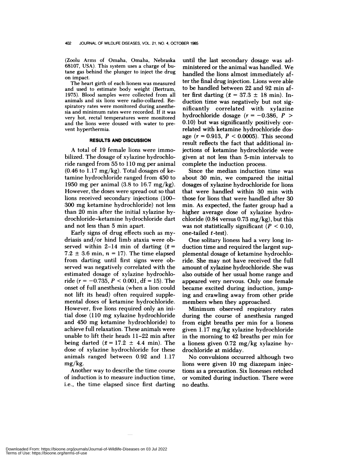(Zoolu Arms of Omaha, Omaha, Nebraska 68107, USA). This system uses a charge of butane gas behind the plunger to inject the drug on impact.

The heart girth of each lioness was measured and used to estimate body weight (Bertram, 1975). Blood samples were collected from all animals and six lions were radio-collared. Respiratory rates were monitored during anesthe sia and minimum rates were recorded. If it was very hot, rectal temperatures were monitored and the lions were doused with water to pre vent hyperthermia.

#### **RESULTS AND DISCUSSION**

A total of 19 female lions were immobilized. The dosage of xylazine hydrochloride ranged from 55 to 110 mg per animal  $(0.46 \text{ to } 1.17 \text{ mg/kg})$ . Total dosages of ketamine hydrochloride ranged from 450 to 1950 mg per animal (3.8 to 16.7 mg/kg). However, the doses were spread out so that lions received secondary injections (100- 300 mg ketamine hydrochloride) not less than 20 min after the initial xylazine hydroch!onide-ketamine hydrochloride dart and not less than 5 min apart.

Early signs of drug effects such as mydriasis and/or hind limb ataxia were observed within 2-14 min of darting  $(\bar{x} =$  $7.2 \pm 3.6$  min,  $n = 17$ ). The time elapsed from darting until first signs were observed was negatively correlated with the estimated dosage of xylazine hydrochloride ( $r = -0.735$ ,  $P < 0.001$ , df = 15). The onset of full anesthesia (when a lion could not lift its head) often required supplemental doses of ketamine hydrochloride. However, five lions required only an initial dose (110 mg xylazine hydrochloride and 450 mg ketamine hydrochloride) to achieve full relaxation. These animals were unable to lift their heads 11-22 min after being darted  $(\bar{x} = 17.2 \pm 4.4 \text{ min})$ . The dose of xylazine hydrochloride for these animals ranged between 0.92 and 1.17 mg/kg.

Another way to describe the time course of induction is to measure induction time, i.e., the time elapsed since first darting until the last secondary dosage was administered or the animal was handled. We handled the lions almost immediately after the final drug injection. Lions were able to be handled between 22 and 92 min after first darting  $(\bar{x} = 37.3 \pm 18 \text{ min})$ . Induction time was negatively but not significantly correlated with xylazine hydrochloride dosage  $(r = -0.386, P >$ 0.10) but was significantly positively correlated with ketamine hydrochloride dosage  $(r = 0.913, P < 0.0005)$ . This second result reflects the fact that additional injections of ketamine hydrochloride were given at not less than 5-min intervals to complete the induction process.

Since the median induction time was about 30 min, we compared the initial dosages of xylazine hydrochloride for lions that were handled within 30 min with those for lions that were handled after 30 min. As expected, the faster group had a higher average dose of xylazine hydrochloride (0.84 versus 0.73 mg/kg), but this was not statistically significant  $(P < 0.10$ , one-tailed t -test).

One solitary lioness had a very long induction time and required the largest supplemental dosage of ketamine hydrochloride. She may not have received the full amount of xylazine hydrochloride. She was also outside of her usual home range and appeared very nervous. Only one female became excited during induction, jumping and crawling away from other pride members when they approached.

Minimum observed respiratory rates during the course of anesthesia ranged from eight breaths per min for a lioness given 1.17 mg/kg xy!azine hydrochloride in the morning to 42 breaths per min for a lioness given  $0.72 \text{ mg/kg}$  xylazine hydrochloride at midday.

No convulsions occurred although two lions were given 10 mg diazepam injections as a precaution. Six lionesses retched or vomited during induction. There were no deaths.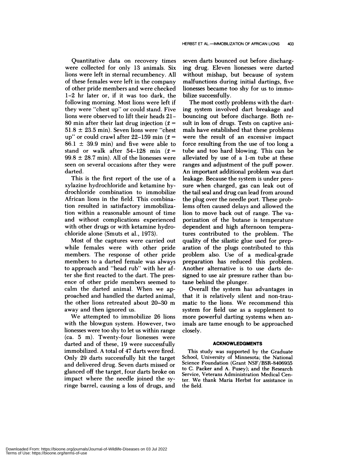Quantitative data on recovery times were collected for only 13 animals. Six lions were left in sternal recumbency. All of these females were left in the company of other pride members and were checked 1-2 hr later or, if it was too dark, the following morning. Most lions were left if they were "chest up" or could stand. Five lions were observed to lift their heads 21- 80 min after their last drug injection ( $\bar{x}$  =  $51.8 \pm 23.5$  min). Seven lions were "chest" up" or could crawl after 22-159 min ( $\bar{x}$  =  $86.1 \pm 39.9$  min) and five were able to stand or walk after 54-128 min  $(\bar{x} =$  $99.8 \pm 28.7$  min). All of the lionesses were seen on several occasions after they were darted.

This is the first report of the use of a xylazine hydrochloride and ketamine hydrochloride combination to immobilize African lions in the field. This combination resulted in satisfactory immobilization within a reasonable amount of time and without complications experienced with other drugs or with ketamine hydrochloride alone (Smuts et a!., 1973).

Most of the captures were carried out while females were with other pride members. The response of other pride members to a darted female was always to approach and "head rub" with her after she first reacted to the dart. The pres ence of other pride members seemed to calm the darted animal. When we approached and handled the darted animal, the other lions retreated about 20-30 m away and then ignored us.

We attempted to immobilize 26 lions with the blowgun system. However, two lionesses were too shy to let us within range (ca. 5 m). Twenty-four lionesses were darted and of these, 19 were successfully immobilized. A total of 47 darts were fired. Only 29 darts successfully hit the target and delivered drug. Seven darts missed or glanced off the target, four darts broke on impact where the needle joined the syringe barrel, causing a loss of drugs, and

seven darts bounced out before discharging drug. Eleven lionesses were darted without mishap, but because of system malfunctions during initial dartings, five lionesses became too shy for us to immobilize successfully.

The most costly problems with the darting system involved dart breakage and bouncing out before discharge. Both re sult in loss of drugs. Tests on captive animals have established that these problems were the result of an excessive impact force resulting from the use of too long a tube and too hard blowing. This can be alleviated by use of a 1-m tube at these ranges and adjustment of the puff power. An important additional problem was dart leakage. Because the system is under pres sure when charged, gas can leak out of the tail seal and drug can lead from around the plug over the needle port. These problems often caused delays and allowed the lion to move back out of range. The va porization of the butane is temperature dependent and high afternoon temperatures contributed to the problem. The quality of the silastic glue used for preparation of the plugs contributed to this problem also. Use of a medical-grade preparation has reduced this problem. Another alternative is to use darts designed to use air pressure rather than butane behind the plunger.

Overall the system has advantages in that it is relatively silent and non-traumatic to the lions. We recommend this system for field use as a supplement to more powerful darting systems when animals are tame enough to be approached closely.

#### **ACKNOWLEDGMENTS**

This study was supported by the Graduate School, University of Minnesota; the National Science Foundation (Grant NSF/BSR-8406935 to C. Packer and A. Pusey); and the Research Service, Veterans Administration Medical Center. We thank Maria Herbst for assistance in the field.